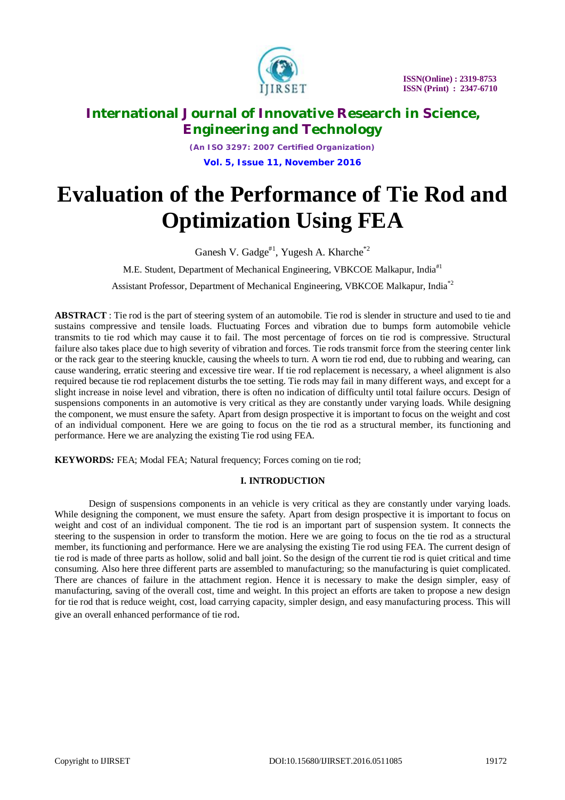

*(An ISO 3297: 2007 Certified Organization)*

**Vol. 5, Issue 11, November 2016**

# **Evaluation of the Performance of Tie Rod and Optimization Using FEA**

Ganesh V. Gadge<sup>#1</sup>, Yugesh A. Kharche<sup>\*2</sup>

M.E. Student, Department of Mechanical Engineering, VBKCOE Malkapur, India<sup>#1</sup>

Assistant Professor, Department of Mechanical Engineering, VBKCOE Malkapur, India\*2

**ABSTRACT** : Tie rod is the part of steering system of an automobile. Tie rod is slender in structure and used to tie and sustains compressive and tensile loads. Fluctuating Forces and vibration due to bumps form automobile vehicle transmits to tie rod which may cause it to fail. The most percentage of forces on tie rod is compressive. Structural failure also takes place due to high severity of vibration and forces. Tie rods transmit force from the steering center link or the rack gear to the steering knuckle, causing the wheels to turn. A worn tie rod end, due to rubbing and wearing, can cause wandering, erratic steering and excessive tire wear. If tie rod replacement is necessary, a wheel alignment is also required because tie rod replacement disturbs the toe setting. Tie rods may fail in many different ways, and except for a slight increase in noise level and vibration, there is often no indication of difficulty until total failure occurs. Design of suspensions components in an automotive is very critical as they are constantly under varying loads. While designing the component, we must ensure the safety. Apart from design prospective it is important to focus on the weight and cost of an individual component. Here we are going to focus on the tie rod as a structural member, its functioning and performance. Here we are analyzing the existing Tie rod using FEA.

**KEYWORDS***:* FEA; Modal FEA; Natural frequency; Forces coming on tie rod;

### **I. INTRODUCTION**

Design of suspensions components in an vehicle is very critical as they are constantly under varying loads. While designing the component, we must ensure the safety. Apart from design prospective it is important to focus on weight and cost of an individual component. The tie rod is an important part of suspension system. It connects the steering to the suspension in order to transform the motion. Here we are going to focus on the tie rod as a structural member, its functioning and performance. Here we are analysing the existing Tie rod using FEA. The current design of tie rod is made of three parts as hollow, solid and ball joint. So the design of the current tie rod is quiet critical and time consuming. Also here three different parts are assembled to manufacturing; so the manufacturing is quiet complicated. There are chances of failure in the attachment region. Hence it is necessary to make the design simpler, easy of manufacturing, saving of the overall cost, time and weight. In this project an efforts are taken to propose a new design for tie rod that is reduce weight, cost, load carrying capacity, simpler design, and easy manufacturing process. This will give an overall enhanced performance of tie rod.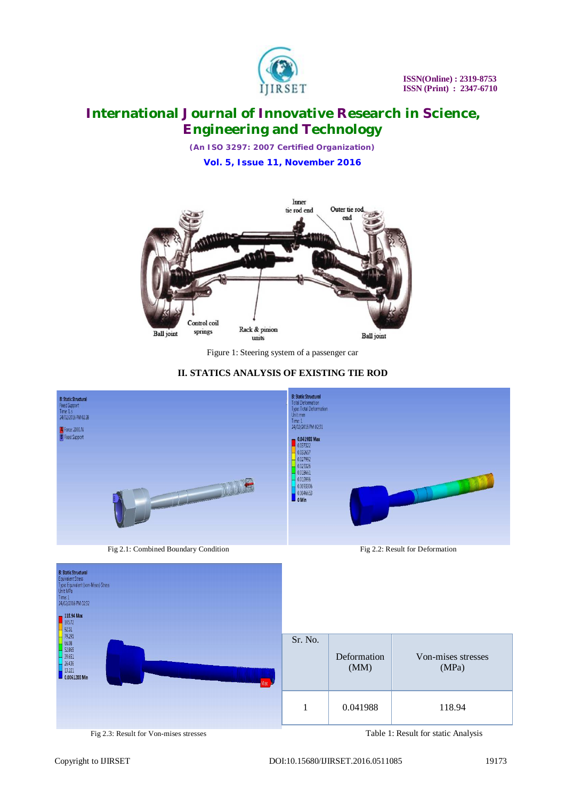

*(An ISO 3297: 2007 Certified Organization)*

**Vol. 5, Issue 11, November 2016**



Figure 1: Steering system of a passenger car

### **II. STATICS ANALYSIS OF EXISTING TIE ROD**

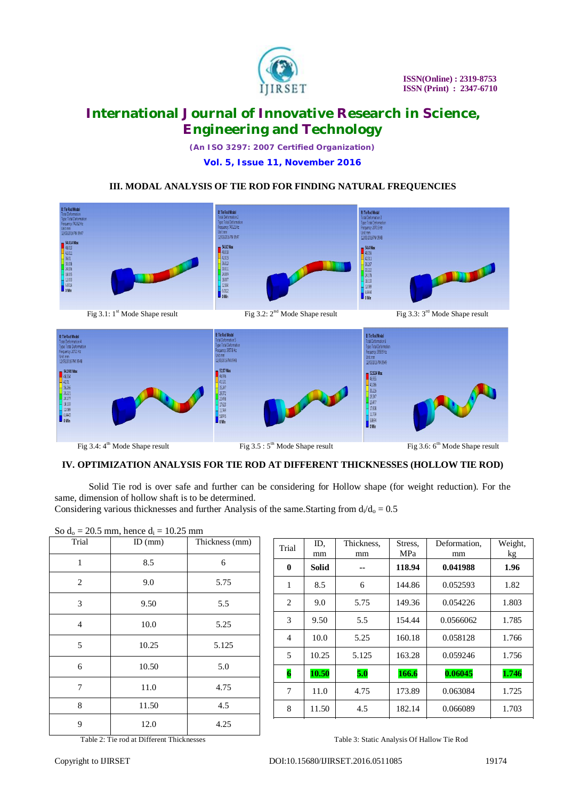

*(An ISO 3297: 2007 Certified Organization)*

**Vol. 5, Issue 11, November 2016**

### **III. MODAL ANALYSIS OF TIE ROD FOR FINDING NATURAL FREQUENCIES**



### **IV. OPTIMIZATION ANALYSIS FOR TIE ROD AT DIFFERENT THICKNESSES (HOLLOW TIE ROD)**

Solid Tie rod is over safe and further can be considering for Hollow shape (for weight reduction). For the same, dimension of hollow shaft is to be determined.

Considering various thicknesses and further Analysis of the same. Starting from  $d_i/d_o = 0.5$ 

| So $d_0 = 20.5$ mm, hence $d_i = 10.25$ mm |           |                |  |
|--------------------------------------------|-----------|----------------|--|
| Trial                                      | $ID$ (mm) | Thickness (mm) |  |
|                                            |           |                |  |
| 1                                          | 8.5       | 6              |  |
| 2                                          | 9.0       | 5.75           |  |
| 3                                          | 9.50      | 5.5            |  |
| $\overline{4}$                             | 10.0      | 5.25           |  |
| 5                                          | 10.25     | 5.125          |  |
| 6                                          | 10.50     | 5.0            |  |
| 7                                          | 11.0      | 4.75           |  |
| 8                                          | 11.50     | 4.5            |  |
| 9                                          | 12.0      | 4.25           |  |

| Trial               | ID.<br>mm | Thickness.<br>mm | Stress,<br>MPa | Deformation.<br>mm | Weight,<br>kg |
|---------------------|-----------|------------------|----------------|--------------------|---------------|
| $\bf{0}$            | Solid     |                  | 118.94         | 0.041988           | 1.96          |
| 1                   | 8.5       | 6                | 144.86         | 0.052593           | 1.82          |
| 2                   | 9.0       | 5.75             | 149.36         | 0.054226           | 1.803         |
| 3                   | 9.50      | 5.5              | 154.44         | 0.0566062          | 1.785         |
| 4                   | 10.0      | 5.25             | 160.18         | 0.058128           | 1.766         |
| 5                   | 10.25     | 5.125            | 163.28         | 0.059246           | 1.756         |
| $\overline{\bf{6}}$ | 10.50     | 5.0              | 166.6          | 0.06045            | 1.746         |
| 7                   | 11.0      | 4.75             | 173.89         | 0.063084           | 1.725         |
| 8                   | 11.50     | 4.5              | 182.14         | 0.066089           | 1.703         |

Table 2: Tie rod at Different Thicknesses Table 3: Static Analysis Of Hallow Tie Rod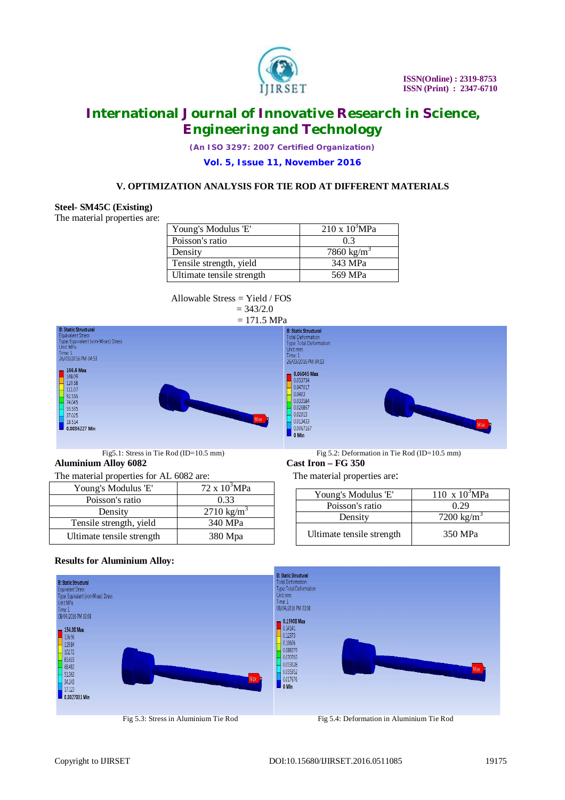

*(An ISO 3297: 2007 Certified Organization)*

#### **Vol. 5, Issue 11, November 2016**

### **V. OPTIMIZATION ANALYSIS FOR TIE ROD AT DIFFERENT MATERIALS**

#### **Steel- SM45C (Existing)**

The material properties are:

| Young's Modulus 'E'       | $210 \times 10^3$ MPa  |
|---------------------------|------------------------|
| Poisson's ratio           | 0.3                    |
| Density                   | 7860 kg/m <sup>3</sup> |
| Tensile strength, yield   | 343 MPa                |
| Ultimate tensile strength | 569 MPa                |

 Allowable Stress = Yield / FOS  $= 343/2.0$ 





**Aluminium Alloy 6082 Cast Iron – FG 350**

The material properties for AL 6082 are: The material properties are:

| Young's Modulus 'E'       | $72 \times 10^3 MPa$  |
|---------------------------|-----------------------|
| Poisson's ratio           | 0.33                  |
| Density                   | $2710 \text{ kg/m}^3$ |
| Tensile strength, yield   | 340 MPa               |
| Ultimate tensile strength | 380 Mpa               |

Fig5.1: Stress in Tie Rod (ID=10.5 mm) Fig 5.2: Deformation in Tie Rod (ID=10.5 mm)

| Young's Modulus 'E'       | 110 x $10^{3}MPa$      |
|---------------------------|------------------------|
| Poisson's ratio           | 0.29                   |
| Density                   | 7200 kg/m <sup>3</sup> |
| Ultimate tensile strength | 350 MPa                |

#### **Results for Aluminium Alloy:**



Fig 5.3: Stress in Aluminium Tie RodFig 5.4: Deformation in Aluminium Tie Rod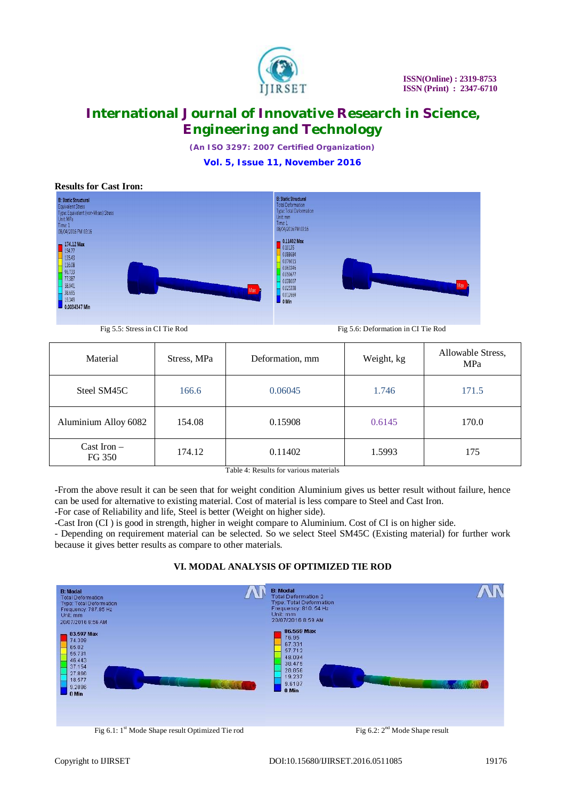

*(An ISO 3297: 2007 Certified Organization)*

**Vol. 5, Issue 11, November 2016**



Fig 5.5: Stress in CI Tie Rod Fig 5.6: Deformation in CI Tie Rod

| Material                         | Stress, MPa | Deformation, mm | Weight, kg | Allowable Stress,<br>MPa |
|----------------------------------|-------------|-----------------|------------|--------------------------|
| Steel SM45C                      | 166.6       | 0.06045         | 1.746      | 171.5                    |
| Aluminium Alloy 6082             | 154.08      | 0.15908         | 0.6145     | 170.0                    |
| $\text{Cast}$ Iron $-$<br>FG 350 | 174.12      | 0.11402         | 1.5993     | 175                      |

Table 4: Results for various materials

-From the above result it can be seen that for weight condition Aluminium gives us better result without failure, hence can be used for alternative to existing material. Cost of material is less compare to Steel and Cast Iron.

-For case of Reliability and life, Steel is better (Weight on higher side).

-Cast Iron (CI ) is good in strength, higher in weight compare to Aluminium. Cost of CI is on higher side.

- Depending on requirement material can be selected. So we select Steel SM45C (Existing material) for further work because it gives better results as compare to other materials.



### **VI. MODAL ANALYSIS OF OPTIMIZED TIE ROD**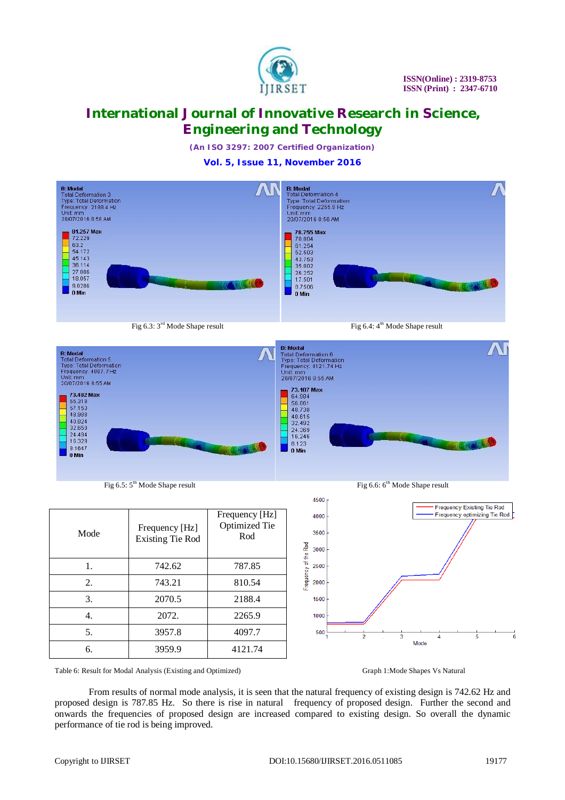

*(An ISO 3297: 2007 Certified Organization)*

**Vol. 5, Issue 11, November 2016**





| Mode | Frequency [Hz]<br><b>Existing Tie Rod</b> | Frequency [Hz]<br><b>Optimized Tie</b><br>Rod |
|------|-------------------------------------------|-----------------------------------------------|
| 1.   | 742.62                                    | 787.85                                        |
| 2.   | 743.21                                    | 810.54                                        |
| 3.   | 2070.5                                    | 2188.4                                        |
| 4.   | 2072.                                     | 2265.9                                        |
| 5.   | 3957.8                                    | 4097.7                                        |
| б.   | 3959.9                                    | 4121.74                                       |





Table 6: Result for Modal Analysis (Existing and Optimized) Graph 1:Mode Shapes Vs Natural

From results of normal mode analysis, it is seen that the natural frequency of existing design is 742.62 Hz and proposed design is 787.85 Hz. So there is rise in natural frequency of proposed design. Further the second and onwards the frequencies of proposed design are increased compared to existing design. So overall the dynamic performance of tie rod is being improved.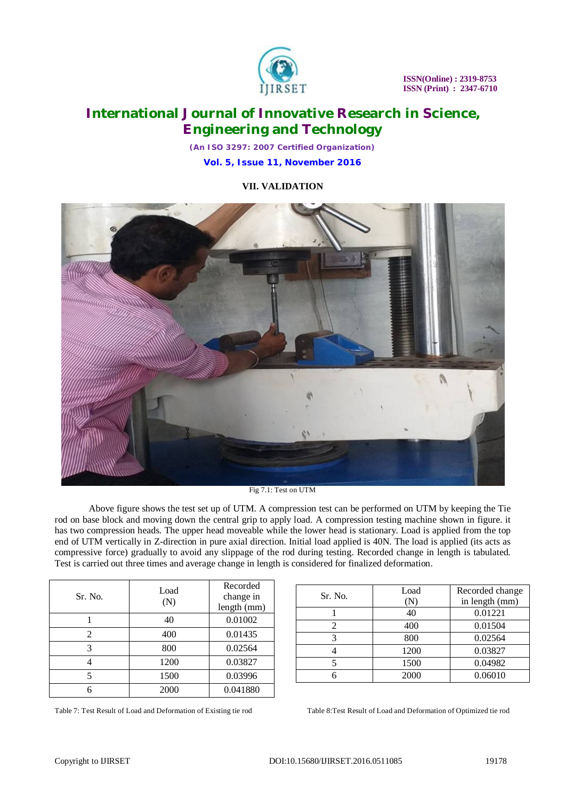

*(An ISO 3297: 2007 Certified Organization)*

**Vol. 5, Issue 11, November 2016**

**VII. VALIDATION**



Fig 7.1: Test on UTM

Above figure shows the test set up of UTM. A compression test can be performed on UTM by keeping the Tie rod on base block and moving down the central grip to apply load. A compression testing machine shown in figure. it has two compression heads. The upper head moveable while the lower head is stationary. Load is applied from the top end of UTM vertically in Z-direction in pure axial direction. Initial load applied is 40N. The load is applied (its acts as compressive force) gradually to avoid any slippage of the rod during testing. Recorded change in length is tabulated. Test is carried out three times and average change in length is considered for finalized deformation.

| Sr. No. | Load<br>(N) | Recorded<br>change in<br>length (mm) |
|---------|-------------|--------------------------------------|
|         | 40          | 0.01002                              |
|         | 400         | 0.01435                              |
| 3       | 800         | 0.02564                              |
|         | 1200        | 0.03827                              |
|         | 1500        | 0.03996                              |
|         | 2000        | 0.041880                             |

| Sr. No. | Load | Recorded change |
|---------|------|-----------------|
|         |      | in length (mm)  |
|         | 40   | 0.01221         |
|         | 400  | 0.01504         |
|         | 800  | 0.02564         |
|         | 1200 | 0.03827         |
|         | 1500 | 0.04982         |
|         | 2000 | 0.06010         |

Table 7: Test Result of Load and Deformation of Existing tie rod Table 8:Test Result of Load and Deformation of Optimized tie rod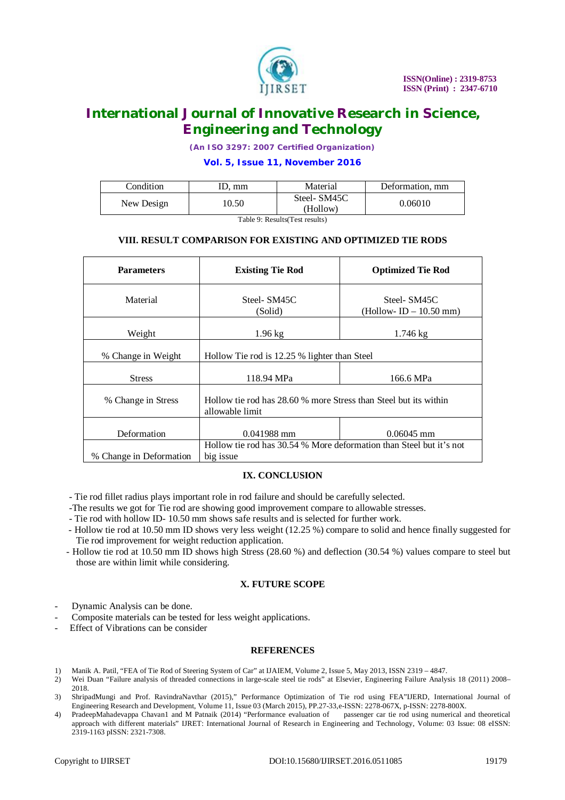

*(An ISO 3297: 2007 Certified Organization)*

### **Vol. 5, Issue 11, November 2016**

|            |      | Material                | Deformation, mm |
|------------|------|-------------------------|-----------------|
| New Design | 0.50 | Steel-SM45C<br>(Hollow) | 0.06010         |

Table 9: Results(Test results)

### **VIII. RESULT COMPARISON FOR EXISTING AND OPTIMIZED TIE RODS**

| <b>Parameters</b>       | <b>Existing Tie Rod</b>                                                             | <b>Optimized Tie Rod</b>              |  |
|-------------------------|-------------------------------------------------------------------------------------|---------------------------------------|--|
| Material                | Steel-SM45C<br>(Solid)                                                              | Steel-SM45C<br>$(Hollow-ID-10.50 mm)$ |  |
| Weight                  | $1.96$ kg                                                                           | $1.746 \,\mathrm{kg}$                 |  |
| % Change in Weight      | Hollow Tie rod is 12.25 % lighter than Steel                                        |                                       |  |
| <b>Stress</b>           | 118.94 MPa                                                                          | 166.6 MPa                             |  |
| % Change in Stress      | Hollow tie rod has 28.60 % more Stress than Steel but its within<br>allowable limit |                                       |  |
| Deformation             | $0.041988$ mm                                                                       | $0.06045$ mm                          |  |
| % Change in Deformation | Hollow tie rod has 30.54 % More deformation than Steel but it's not<br>big issue    |                                       |  |

#### **IX. CONCLUSION**

- Tie rod fillet radius plays important role in rod failure and should be carefully selected.
- -The results we got for Tie rod are showing good improvement compare to allowable stresses.
- Tie rod with hollow ID- 10.50 mm shows safe results and is selected for further work.
- Hollow tie rod at 10.50 mm ID shows very less weight (12.25 %) compare to solid and hence finally suggested for Tie rod improvement for weight reduction application.
- Hollow tie rod at 10.50 mm ID shows high Stress (28.60 %) and deflection (30.54 %) values compare to steel but those are within limit while considering.

#### **X. FUTURE SCOPE**

- Dynamic Analysis can be done.
- Composite materials can be tested for less weight applications.
- Effect of Vibrations can be consider

#### **REFERENCES**

- 1) Manik A. Patil, "FEA of Tie Rod of Steering System of Car" at IJAIEM, Volume 2, Issue 5, May 2013, ISSN 2319 4847.
- 2) Wei Duan "Failure analysis of threaded connections in large-scale steel tie rods" at Elsevier, Engineering Failure Analysis 18 (2011) 2008– 2018.
- 3) ShripadMungi and Prof. RavindraNavthar (2015)," Performance Optimization of Tie rod using FEA"IJERD, International Journal of Engineering Research and Development, Volume 11, Issue 03 (March 2015), PP.27-33,e-ISSN: 2278-067X, p-ISSN: 2278-800X.
- 4) PradeepMahadevappa Chavan1 and M Patnaik (2014) "Performance evaluation of passenger car tie rod using numerical and theoretical approach with different materials" IJRET: International Journal of Research in Engineering and Technology, Volume: 03 Issue: 08 eISSN: 2319-1163 pISSN: 2321-7308.